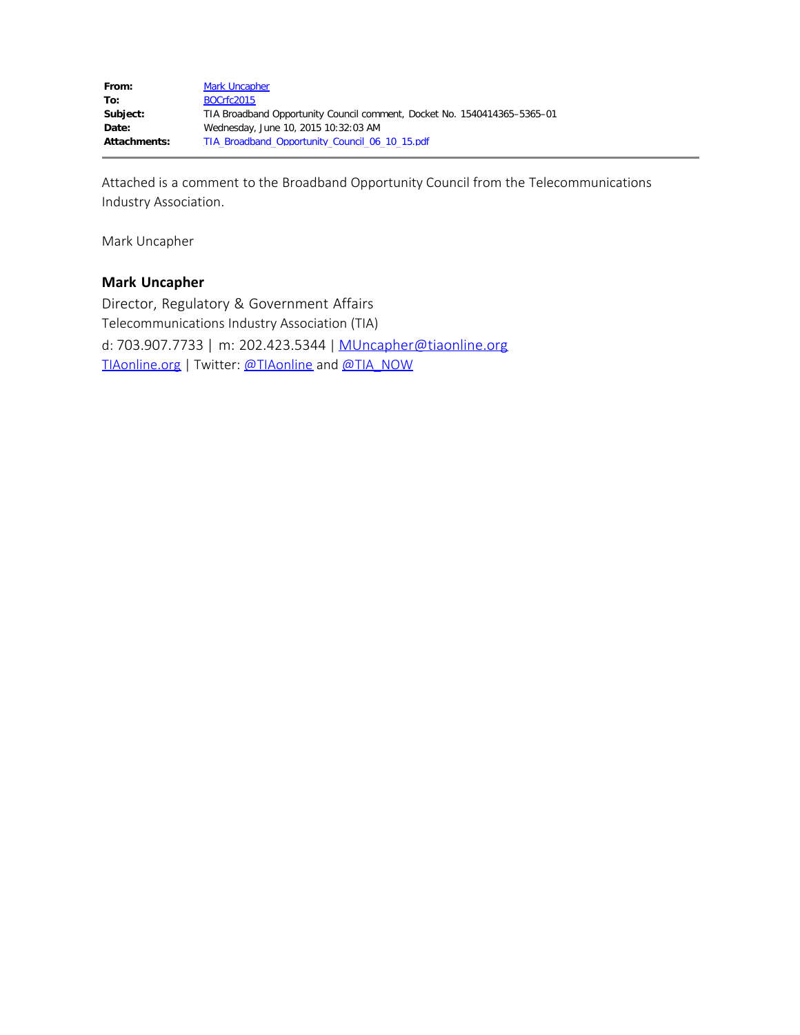Attached is a comment to the Broadband Opportunity Council from the Telecommunications Industry Association.

Mark Uncapher

## **Mark Uncapher**

Director, Regulatory & Government Affairs Telecommunications Industry Association (TIA) d: 703.907.7733 | m: 202.423.5344 | [MUncapher@tiaonline.org](mailto:MUncapher@tiaonline.org) [TIAonline.org](http://www.tiaonline.org/) | Twitter: [@TIAonline](https://twitter.com/tiaonline) and [@TIA\\_NOW](https://twitter.com/tia_now)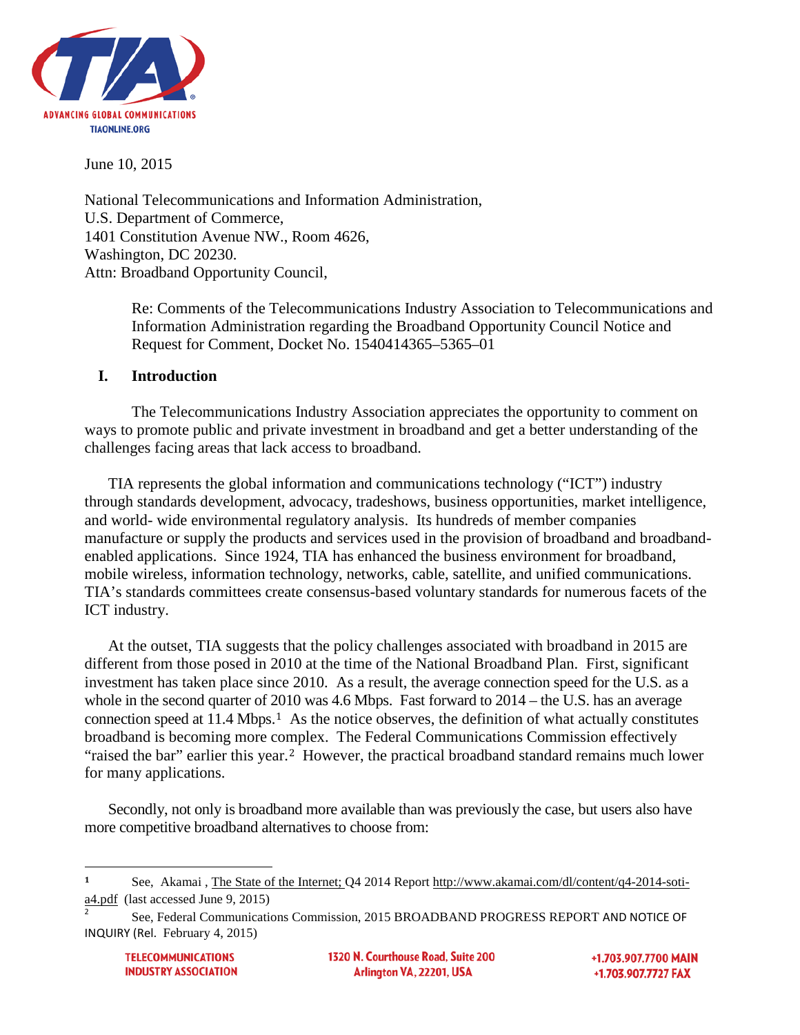

June 10, 2015

National Telecommunications and Information Administration, U.S. Department of Commerce, 1401 Constitution Avenue NW., Room 4626, Washington, DC 20230. Attn: Broadband Opportunity Council,

> Re: Comments of the Telecommunications Industry Association to Telecommunications and Information Administration regarding the Broadband Opportunity Council Notice and Request for Comment, Docket No. 1540414365–5365–01

### **I. Introduction**

The Telecommunications Industry Association appreciates the opportunity to comment on ways to promote public and private investment in broadband and get a better understanding of the challenges facing areas that lack access to broadband.

TIA represents the global information and communications technology ("ICT") industry through standards development, advocacy, tradeshows, business opportunities, market intelligence, and world- wide environmental regulatory analysis. Its hundreds of member companies manufacture or supply the products and services used in the provision of broadband and broadbandenabled applications. Since 1924, TIA has enhanced the business environment for broadband, mobile wireless, information technology, networks, cable, satellite, and unified communications. TIA's standards committees create consensus-based voluntary standards for numerous facets of the ICT industry.

At the outset, TIA suggests that the policy challenges associated with broadband in 2015 are different from those posed in 2010 at the time of the National Broadband Plan. First, significant investment has taken place since 2010. As a result, the average connection speed for the U.S. as a whole in the second quarter of [20](#page-1-0)10 was 4.6 Mbps. Fast forward to 2014 – the U.S. has an average connection speed at 11.4 Mbps.<sup>1</sup> As the notice observes, the definition of what actually constitutes broadband is becoming more co[m](#page-1-1)plex. The Federal Communications Commission effectively "raised the bar" earlier this year.2 However, the practical broadband standard remains much lower for many applications.

Secondly, not only is broadband more available than was previously the case, but users also have more competitive broadband alternatives to choose from:

1320 N. Courthouse Road. Suite 200 Arlington VA, 22201, USA

+1.703.907.7700 MAIN +1.703.907.7727 FAX

<span id="page-1-0"></span>**<sup>1</sup>** See, Akamai , The State of the Internet; Q4 2014 Report [http://www.akamai.com/dl/content/q4-2014-soti](http://www.akamai.com/dl/content/q4-2014-soti-a4.pdf)[a4.pdf](http://www.akamai.com/dl/content/q4-2014-soti-a4.pdf) (last accessed June 9, 2015)

<span id="page-1-1"></span><sup>2</sup> See, Federal Communications Commission, 2015 BROADBAND PROGRESS REPORT AND NOTICE OF INQUIRY (Rel. February 4, 2015)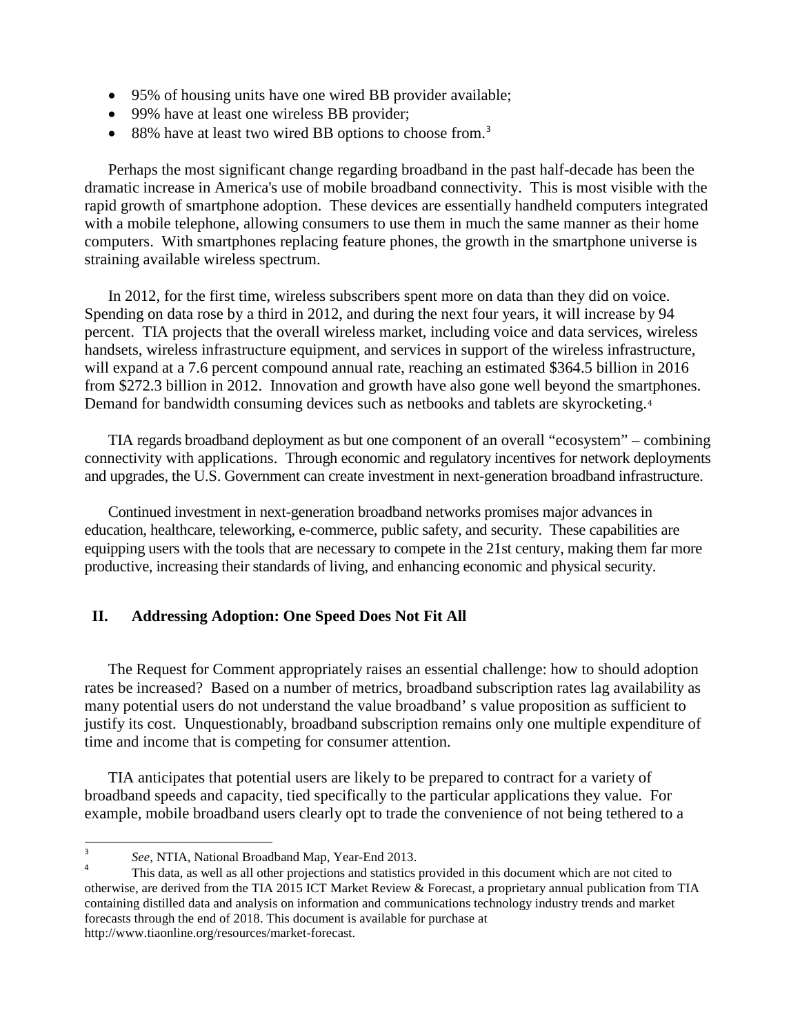- 95% of housing units have one wired BB provider available;
- 99% have at least one wireless BB provider;
- 88% have at least two wired BB options to choose from.<sup>[3](#page-2-0)</sup>

Perhaps the most significant change regarding broadband in the past half-decade has been the dramatic increase in America's use of mobile broadband connectivity. This is most visible with the rapid growth of smartphone adoption. These devices are essentially handheld computers integrated with a mobile telephone, allowing consumers to use them in much the same manner as their home computers. With smartphones replacing feature phones, the growth in the smartphone universe is straining available wireless spectrum.

In 2012, for the first time, wireless subscribers spent more on data than they did on voice. Spending on data rose by a third in 2012, and during the next four years, it will increase by 94 percent. TIA projects that the overall wireless market, including voice and data services, wireless handsets, wireless infrastructure equipment, and services in support of the wireless infrastructure, will expand at a 7.6 percent compound annual rate, reaching an estimated \$364.5 billion in 2016 from \$272.3 billion in 2012. Innovation and growth have also gone well beyond the sma[rt](#page-2-1)phones. Demand for bandwidth consuming devices such as netbooks and tablets are skyrocketing.<sup>4</sup>

TIA regards broadband deployment as but one component of an overall "ecosystem" – combining connectivity with applications. Through economic and regulatory incentives for network deployments and upgrades, the U.S. Government can create investment in next-generation broadband infrastructure.

Continued investment in next-generation broadband networks promises major advances in education, healthcare, teleworking, e-commerce, public safety, and security. These capabilities are equipping users with the tools that are necessary to compete in the 21st century, making them far more productive, increasing their standards of living, and enhancing economic and physical security.

## **II. Addressing Adoption: One Speed Does Not Fit All**

The Request for Comment appropriately raises an essential challenge: how to should adoption rates be increased? Based on a number of metrics, broadband subscription rates lag availability as many potential users do not understand the value broadband' s value proposition as sufficient to justify its cost. Unquestionably, broadband subscription remains only one multiple expenditure of time and income that is competing for consumer attention.

TIA anticipates that potential users are likely to be prepared to contract for a variety of broadband speeds and capacity, tied specifically to the particular applications they value. For example, mobile broadband users clearly opt to trade the convenience of not being tethered to a

<span id="page-2-0"></span>3

<span id="page-2-1"></span>*See, NTIA, National Broadband Map, Year-End 2013.*<br><sup>4</sup> This data, as well as all other projections and statistics provided in this document which are not cited to otherwise, are derived from the TIA 2015 ICT Market Review & Forecast, a proprietary annual publication from TIA containing distilled data and analysis on information and communications technology industry trends and market forecasts through the end of 2018. This document is available for purchase at http://www.tiaonline.org/resources/market-forecast.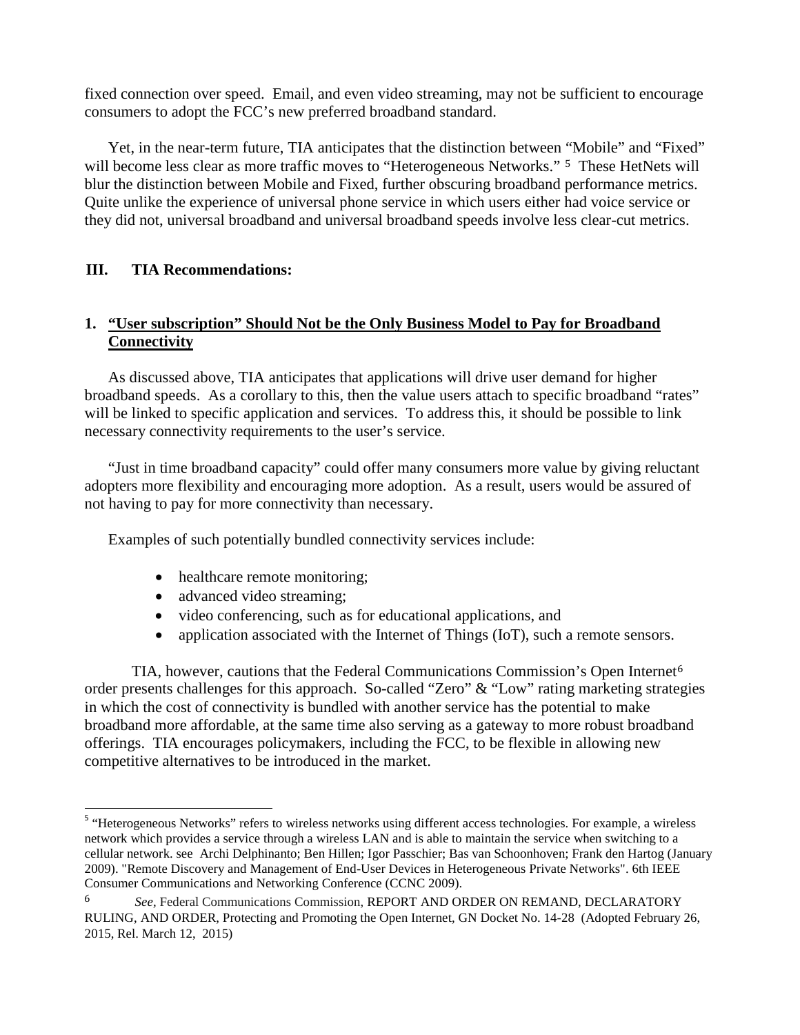fixed connection over speed. Email, and even video streaming, may not be sufficient to encourage consumers to adopt the FCC's new preferred broadband standard.

Yet, in the near-term future, TIA anticipates that the distinction between ["](#page-3-0)Mobile" and "Fixed" will become less clear as more traffic moves to "Heterogeneous Networks." <sup>5</sup> These HetNets will blur the distinction between Mobile and Fixed, further obscuring broadband performance metrics. Quite unlike the experience of universal phone service in which users either had voice service or they did not, universal broadband and universal broadband speeds involve less clear-cut metrics.

## **III. TIA Recommendations:**

## **1. "User subscription" Should Not be the Only Business Model to Pay for Broadband Connectivity**

As discussed above, TIA anticipates that applications will drive user demand for higher broadband speeds. As a corollary to this, then the value users attach to specific broadband "rates" will be linked to specific application and services. To address this, it should be possible to link necessary connectivity requirements to the user's service.

"Just in time broadband capacity" could offer many consumers more value by giving reluctant adopters more flexibility and encouraging more adoption. As a result, users would be assured of not having to pay for more connectivity than necessary.

Examples of such potentially bundled connectivity services include:

- healthcare remote monitoring;
- advanced video streaming;
- video conferencing, such as for educational applications, and
- application associated with the Internet of Things (IoT), such a remote sensors.

TIA, however, cautions that the Federal Communications Commission's Open Internet<sup>6</sup> order presents challenges for this approach. So-called "Zero" & "Low" rating marketing strat[eg](#page-3-1)ies in which the cost of connectivity is bundled with another service has the potential to make broadband more affordable, at the same time also serving as a gateway to more robust broadband offerings. TIA encourages policymakers, including the FCC, to be flexible in allowing new competitive alternatives to be introduced in the market.

<span id="page-3-0"></span><sup>&</sup>lt;sup>5</sup> "Heterogeneous Networks" refers to wireless networks using different access technologies. For example, a wireless network which provides a service through a wireless LAN and is able to maintain the service when switching to a cellular network. see Archi Delphinanto; Ben Hillen; Igor Passchier; Bas van Schoonhoven; Frank den Hartog (January 2009). "Remote Discovery and Management of End-User Devices in Heterogeneous Private Networks". 6th IEEE Consumer Communications and Networking Conference (CCNC 2009).

<span id="page-3-1"></span><sup>6</sup> *See,* Federal Communications Commission, REPORT AND ORDER ON REMAND, DECLARATORY RULING, AND ORDER, Protecting and Promoting the Open Internet, GN Docket No. 14-28 (Adopted February 26, 2015, Rel. March 12, 2015)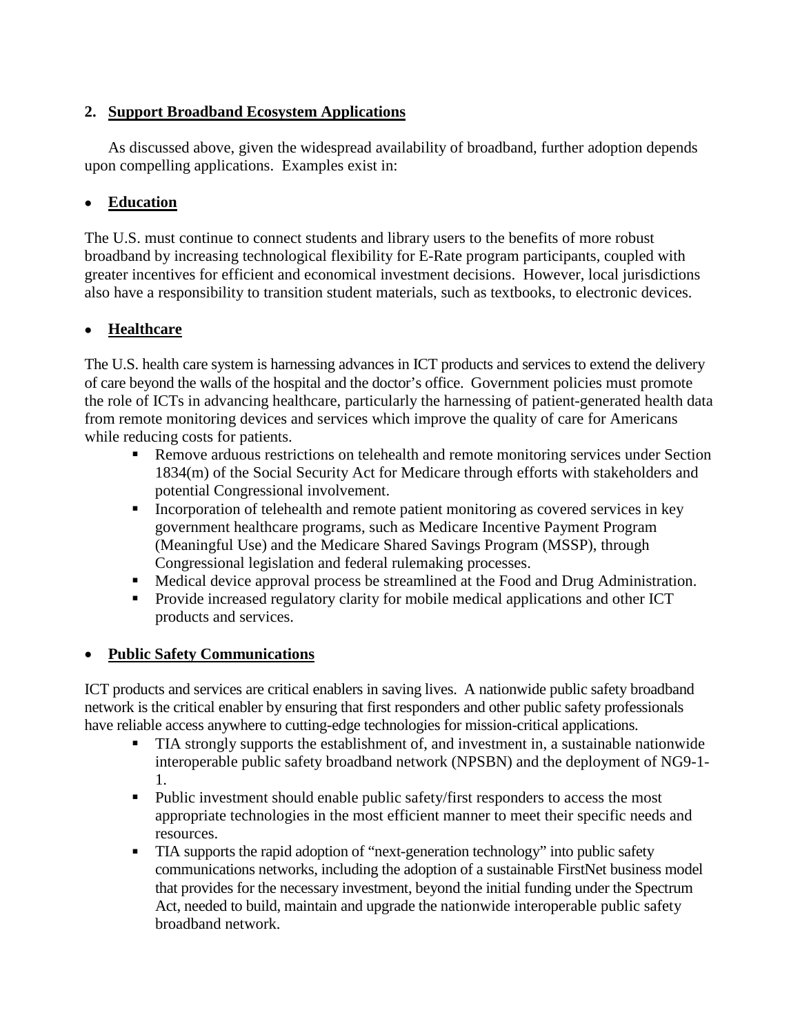# **2. Support Broadband Ecosystem Applications**

As discussed above, given the widespread availability of broadband, further adoption depends upon compelling applications. Examples exist in:

# • **Education**

The U.S. must continue to connect students and library users to the benefits of more robust broadband by increasing technological flexibility for E-Rate program participants, coupled with greater incentives for efficient and economical investment decisions. However, local jurisdictions also have a responsibility to transition student materials, such as textbooks, to electronic devices.

# • **Healthcare**

The U.S. health care system is harnessing advances in ICT products and services to extend the delivery of care beyond the walls of the hospital and the doctor's office. Government policies must promote the role of ICTs in advancing healthcare, particularly the harnessing of patient-generated health data from remote monitoring devices and services which improve the quality of care for Americans while reducing costs for patients.

- **Remove arduous restrictions on telehealth and remote monitoring services under Section** 1834(m) of the Social Security Act for Medicare through efforts with stakeholders and potential Congressional involvement.
- Incorporation of telehealth and remote patient monitoring as covered services in key government healthcare programs, such as Medicare Incentive Payment Program (Meaningful Use) and the Medicare Shared Savings Program (MSSP), through Congressional legislation and federal rulemaking processes.
- Medical device approval process be streamlined at the Food and Drug Administration.
- **Provide increased regulatory clarity for mobile medical applications and other ICT** products and services.

## • **Public Safety Communications**

ICT products and services are critical enablers in saving lives. A nationwide public safety broadband network is the critical enabler by ensuring that first responders and other public safety professionals have reliable access anywhere to cutting-edge technologies for mission-critical applications.

- TIA strongly supports the establishment of, and investment in, a sustainable nationwide interoperable public safety broadband network (NPSBN) and the deployment of NG9-1- 1.
- Public investment should enable public safety/first responders to access the most appropriate technologies in the most efficient manner to meet their specific needs and resources.
- TIA supports the rapid adoption of "next-generation technology" into public safety communications networks, including the adoption of a sustainable FirstNet business model that provides for the necessary investment, beyond the initial funding under the Spectrum Act, needed to build, maintain and upgrade the nationwide interoperable public safety broadband network.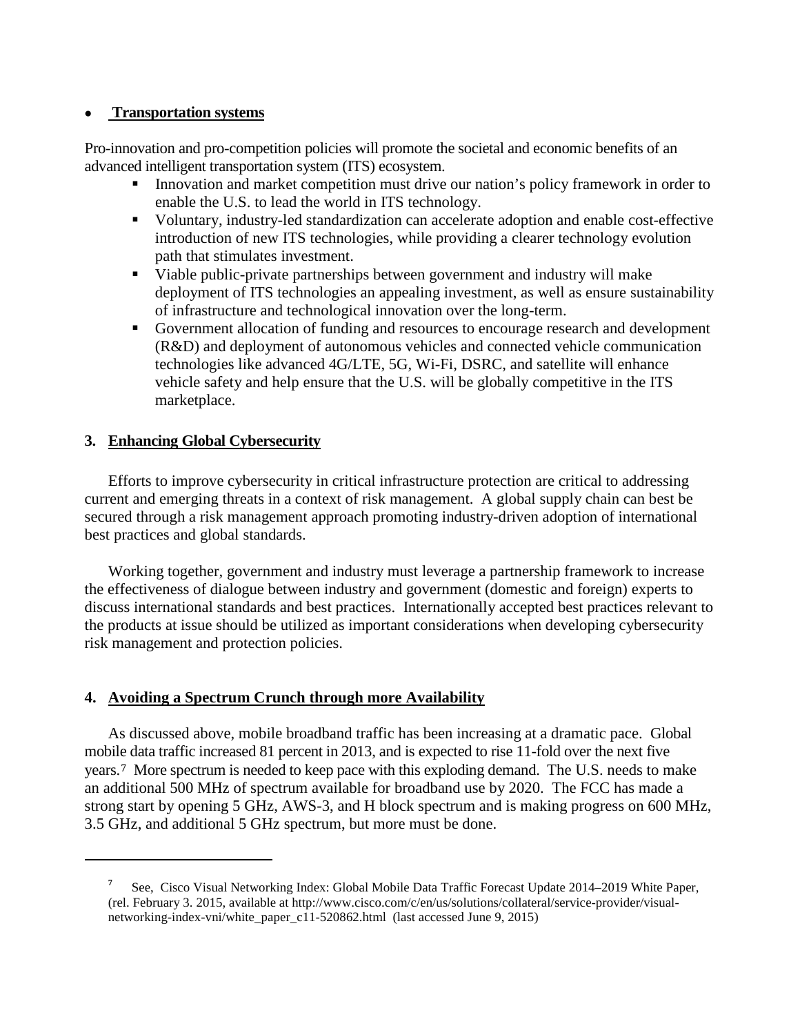### • **Transportation systems**

Pro-innovation and pro-competition policies will promote the societal and economic benefits of an advanced intelligent transportation system (ITS) ecosystem.

- Innovation and market competition must drive our nation's policy framework in order to enable the U.S. to lead the world in ITS technology.
- Voluntary, industry-led standardization can accelerate adoption and enable cost-effective introduction of new ITS technologies, while providing a clearer technology evolution path that stimulates investment.
- Viable public-private partnerships between government and industry will make deployment of ITS technologies an appealing investment, as well as ensure sustainability of infrastructure and technological innovation over the long-term.
- Government allocation of funding and resources to encourage research and development (R&D) and deployment of autonomous vehicles and connected vehicle communication technologies like advanced 4G/LTE, 5G, Wi-Fi, DSRC, and satellite will enhance vehicle safety and help ensure that the U.S. will be globally competitive in the ITS marketplace.

### **3. Enhancing Global Cybersecurity**

<span id="page-5-0"></span>i<br>I

Efforts to improve cybersecurity in critical infrastructure protection are critical to addressing current and emerging threats in a context of risk management. A global supply chain can best be secured through a risk management approach promoting industry-driven adoption of international best practices and global standards.

Working together, government and industry must leverage a partnership framework to increase the effectiveness of dialogue between industry and government (domestic and foreign) experts to discuss international standards and best practices. Internationally accepted best practices relevant to the products at issue should be utilized as important considerations when developing cybersecurity risk management and protection policies.

### **4. Avoiding a Spectrum Crunch through more Availability**

As discussed above, mobile broadband traffic has been increasing at a dramatic pace. Global mobil[e](#page-5-0) data traffic increased 81 percent in 2013, and is expected to rise 11-fold over the next five years.<sup>7</sup> More spectrum is needed to keep pace with this exploding demand. The U.S. needs to make an additional 500 MHz of spectrum available for broadband use by 2020. The FCC has made a strong start by opening 5 GHz, AWS-3, and H block spectrum and is making progress on 600 MHz, 3.5 GHz, and additional 5 GHz spectrum, but more must be done.

**<sup>7</sup>** See, Cisco Visual Networking Index: Global Mobile Data Traffic Forecast Update 2014–2019 White Paper, (rel. February 3. 2015, available at http://www.cisco.com/c/en/us/solutions/collateral/service-provider/visualnetworking-index-vni/white\_paper\_c11-520862.html (last accessed June 9, 2015)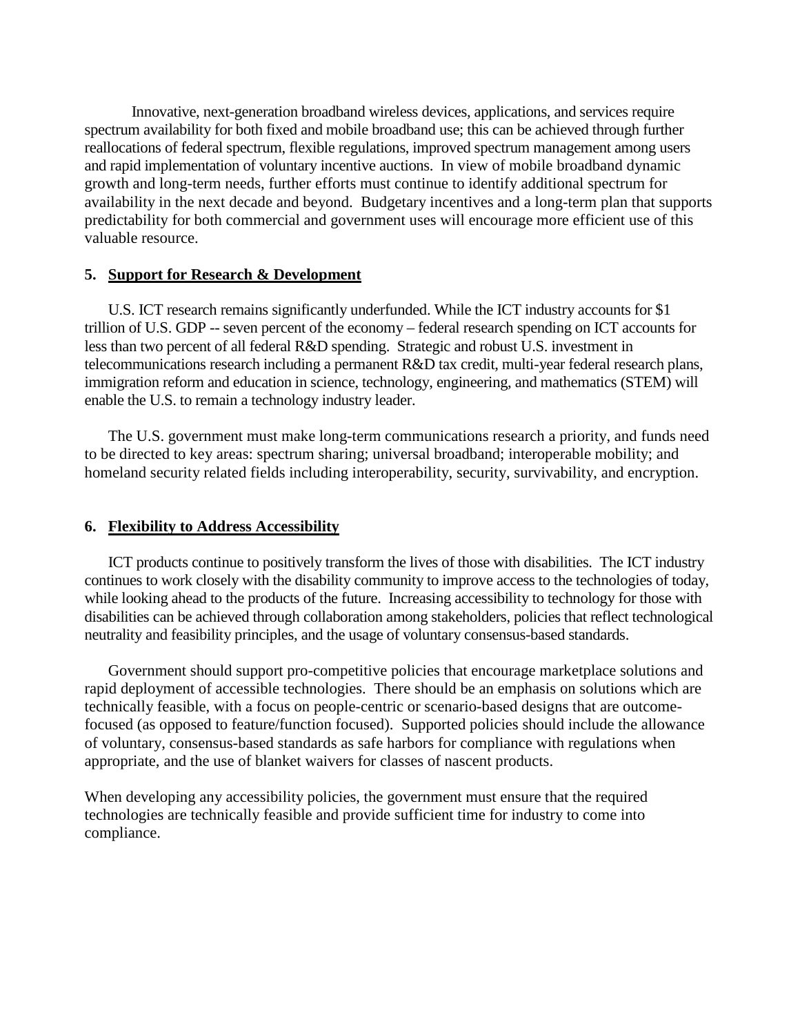Innovative, next-generation broadband wireless devices, applications, and services require spectrum availability for both fixed and mobile broadband use; this can be achieved through further reallocations of federal spectrum, flexible regulations, improved spectrum management among users and rapid implementation of voluntary incentive auctions. In view of mobile broadband dynamic growth and long-term needs, further efforts must continue to identify additional spectrum for availability in the next decade and beyond. Budgetary incentives and a long-term plan that supports predictability for both commercial and government uses will encourage more efficient use of this valuable resource.

#### **5. Support for Research & Development**

U.S. ICT research remains significantly underfunded. While the ICT industry accounts for \$1 trillion of U.S. GDP -- seven percent of the economy – federal research spending on ICT accounts for less than two percent of all federal R&D spending. Strategic and robust U.S. investment in telecommunications research including a permanent R&D tax credit, multi-year federal research plans, immigration reform and education in science, technology, engineering, and mathematics (STEM) will enable the U.S. to remain a technology industry leader.

The U.S. government must make long-term communications research a priority, and funds need to be directed to key areas: spectrum sharing; universal broadband; interoperable mobility; and homeland security related fields including interoperability, security, survivability, and encryption.

### **6. Flexibility to Address Accessibility**

ICT products continue to positively transform the lives of those with disabilities. The ICT industry continues to work closely with the disability community to improve access to the technologies of today, while looking ahead to the products of the future. Increasing accessibility to technology for those with disabilities can be achieved through collaboration among stakeholders, policies that reflect technological neutrality and feasibility principles, and the usage of voluntary consensus-based standards.

Government should support pro-competitive policies that encourage marketplace solutions and rapid deployment of accessible technologies. There should be an emphasis on solutions which are technically feasible, with a focus on people-centric or scenario-based designs that are outcomefocused (as opposed to feature/function focused). Supported policies should include the allowance of voluntary, consensus-based standards as safe harbors for compliance with regulations when appropriate, and the use of blanket waivers for classes of nascent products.

When developing any accessibility policies, the government must ensure that the required technologies are technically feasible and provide sufficient time for industry to come into compliance.